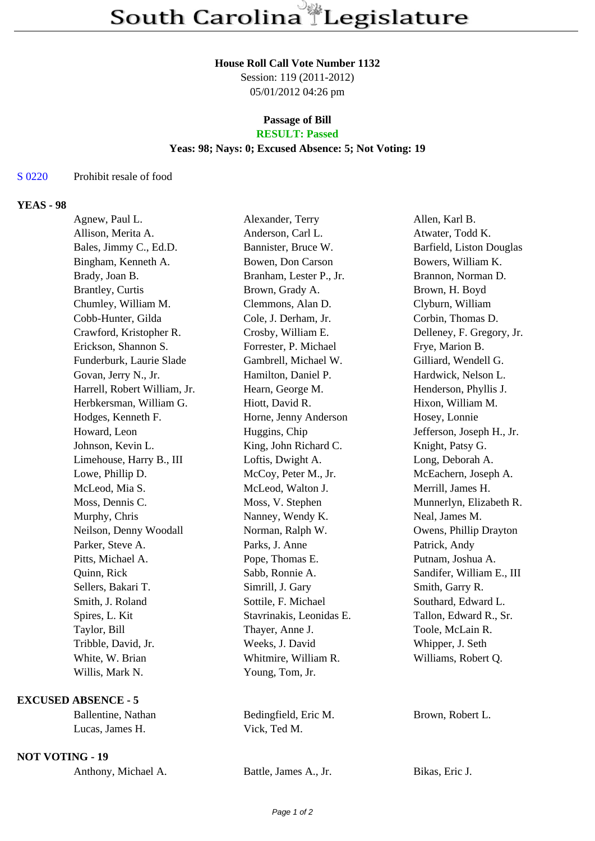#### **House Roll Call Vote Number 1132**

Session: 119 (2011-2012) 05/01/2012 04:26 pm

# **Passage of Bill**

## **RESULT: Passed**

### **Yeas: 98; Nays: 0; Excused Absence: 5; Not Voting: 19**

#### S 0220 Prohibit resale of food

#### **YEAS - 98**

| Agnew, Paul L.               | Alexander, Terry         | Allen, Karl B.            |
|------------------------------|--------------------------|---------------------------|
| Allison, Merita A.           | Anderson, Carl L.        | Atwater, Todd K.          |
| Bales, Jimmy C., Ed.D.       | Bannister, Bruce W.      | Barfield, Liston Douglas  |
| Bingham, Kenneth A.          | Bowen, Don Carson        | Bowers, William K.        |
| Brady, Joan B.               | Branham, Lester P., Jr.  | Brannon, Norman D.        |
| <b>Brantley</b> , Curtis     | Brown, Grady A.          | Brown, H. Boyd            |
| Chumley, William M.          | Clemmons, Alan D.        | Clyburn, William          |
| Cobb-Hunter, Gilda           | Cole, J. Derham, Jr.     | Corbin, Thomas D.         |
| Crawford, Kristopher R.      | Crosby, William E.       | Delleney, F. Gregory, Jr. |
| Erickson, Shannon S.         | Forrester, P. Michael    | Frye, Marion B.           |
| Funderburk, Laurie Slade     | Gambrell, Michael W.     | Gilliard, Wendell G.      |
| Govan, Jerry N., Jr.         | Hamilton, Daniel P.      | Hardwick, Nelson L.       |
| Harrell, Robert William, Jr. | Hearn, George M.         | Henderson, Phyllis J.     |
| Herbkersman, William G.      | Hiott, David R.          | Hixon, William M.         |
| Hodges, Kenneth F.           | Horne, Jenny Anderson    | Hosey, Lonnie             |
| Howard, Leon                 | Huggins, Chip            | Jefferson, Joseph H., Jr. |
| Johnson, Kevin L.            | King, John Richard C.    | Knight, Patsy G.          |
| Limehouse, Harry B., III     | Loftis, Dwight A.        | Long, Deborah A.          |
| Lowe, Phillip D.             | McCoy, Peter M., Jr.     | McEachern, Joseph A.      |
| McLeod, Mia S.               | McLeod, Walton J.        | Merrill, James H.         |
| Moss, Dennis C.              | Moss, V. Stephen         | Munnerlyn, Elizabeth R.   |
| Murphy, Chris                | Nanney, Wendy K.         | Neal, James M.            |
| Neilson, Denny Woodall       | Norman, Ralph W.         | Owens, Phillip Drayton    |
| Parker, Steve A.             | Parks, J. Anne           | Patrick, Andy             |
| Pitts, Michael A.            | Pope, Thomas E.          | Putnam, Joshua A.         |
| Quinn, Rick                  | Sabb, Ronnie A.          | Sandifer, William E., III |
| Sellers, Bakari T.           | Simrill, J. Gary         | Smith, Garry R.           |
| Smith, J. Roland             | Sottile, F. Michael      | Southard, Edward L.       |
| Spires, L. Kit               | Stavrinakis, Leonidas E. | Tallon, Edward R., Sr.    |
| Taylor, Bill                 | Thayer, Anne J.          | Toole, McLain R.          |
| Tribble, David, Jr.          | Weeks, J. David          | Whipper, J. Seth          |
| White, W. Brian              | Whitmire, William R.     | Williams, Robert Q.       |
| Willis, Mark N.              | Young, Tom, Jr.          |                           |
| <b>EXCUSED ABSENCE - 5</b>   |                          |                           |
| Ballentine, Nathan           | Bedingfield, Eric M.     | Brown, Robert L.          |
| Lucas, James H.              | Vick, Ted M.             |                           |

**NOT VOTING - 19**

| Anthony, Michael A. | Battle, James A., Jr. | Bikas, Eric J. |
|---------------------|-----------------------|----------------|
|---------------------|-----------------------|----------------|